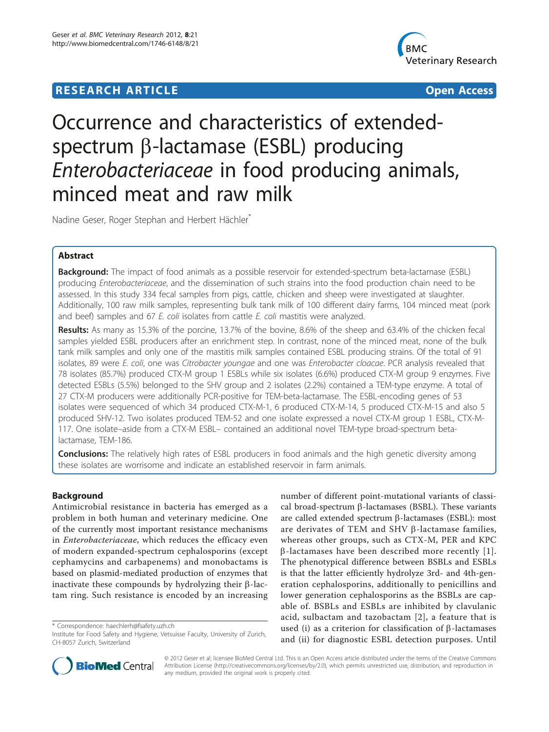# **RESEARCH ARTICLE Example 2014 CONSUMING ACCESS**



# Occurrence and characteristics of extendedspectrum  $\beta$ -lactamase (ESBL) producing Enterobacteriaceae in food producing animals, minced meat and raw milk

Nadine Geser, Roger Stephan and Herbert Hächler<sup>\*</sup>

# Abstract

**Background:** The impact of food animals as a possible reservoir for extended-spectrum beta-lactamase (ESBL) producing Enterobacteriaceae, and the dissemination of such strains into the food production chain need to be assessed. In this study 334 fecal samples from pigs, cattle, chicken and sheep were investigated at slaughter. Additionally, 100 raw milk samples, representing bulk tank milk of 100 different dairy farms, 104 minced meat (pork and beef) samples and 67 E. coli isolates from cattle E. coli mastitis were analyzed.

Results: As many as 15.3% of the porcine, 13.7% of the bovine, 8.6% of the sheep and 63.4% of the chicken fecal samples yielded ESBL producers after an enrichment step. In contrast, none of the minced meat, none of the bulk tank milk samples and only one of the mastitis milk samples contained ESBL producing strains. Of the total of 91 isolates, 89 were E. coli, one was Citrobacter youngae and one was Enterobacter cloacae. PCR analysis revealed that 78 isolates (85.7%) produced CTX-M group 1 ESBLs while six isolates (6.6%) produced CTX-M group 9 enzymes. Five detected ESBLs (5.5%) belonged to the SHV group and 2 isolates (2.2%) contained a TEM-type enzyme. A total of 27 CTX-M producers were additionally PCR-positive for TEM-beta-lactamase. The ESBL-encoding genes of 53 isolates were sequenced of which 34 produced CTX-M-1, 6 produced CTX-M-14, 5 produced CTX-M-15 and also 5 produced SHV-12. Two isolates produced TEM-52 and one isolate expressed a novel CTX-M group 1 ESBL, CTX-M-117. One isolate–aside from a CTX-M ESBL– contained an additional novel TEM-type broad-spectrum betalactamase, TEM-186.

**Conclusions:** The relatively high rates of ESBL producers in food animals and the high genetic diversity among these isolates are worrisome and indicate an established reservoir in farm animals.

# Background

Antimicrobial resistance in bacteria has emerged as a problem in both human and veterinary medicine. One of the currently most important resistance mechanisms in Enterobacteriaceae, which reduces the efficacy even of modern expanded-spectrum cephalosporins (except cephamycins and carbapenems) and monobactams is based on plasmid-mediated production of enzymes that inactivate these compounds by hydrolyzing their  $\beta$ -lactam ring. Such resistance is encoded by an increasing

\* Correspondence: [haechlerh@fsafety.uzh.ch](mailto:haechlerh@fsafety.uzh.ch)

number of different point-mutational variants of classical broad-spectrum  $\beta$ -lactamases (BSBL). These variants are called extended spectrum  $\beta$ -lactamases (ESBL): most are derivates of TEM and SHV  $\beta$ -lactamase families, whereas other groups, such as CTX-M, PER and KPC  $\beta$ -lactamases have been described more recently [[1\]](#page-6-0). The phenotypical difference between BSBLs and ESBLs is that the latter efficiently hydrolyze 3rd- and 4th-generation cephalosporins, additionally to penicillins and lower generation cephalosporins as the BSBLs are capable of. BSBLs and ESBLs are inhibited by clavulanic acid, sulbactam and tazobactam [\[2\]](#page-6-0), a feature that is used (i) as a criterion for classification of  $\beta$ -lactamases and (ii) for diagnostic ESBL detection purposes. Until



© 2012 Geser et al; licensee BioMed Central Ltd. This is an Open Access article distributed under the terms of the Creative Commons Attribution License [\(http://creativecommons.org/licenses/by/2.0](http://creativecommons.org/licenses/by/2.0)), which permits unrestricted use, distribution, and reproduction in any medium, provided the original work is properly cited.

Institute for Food Safety and Hygiene, Vetsuisse Faculty, University of Zurich, CH-8057 Zurich, Switzerland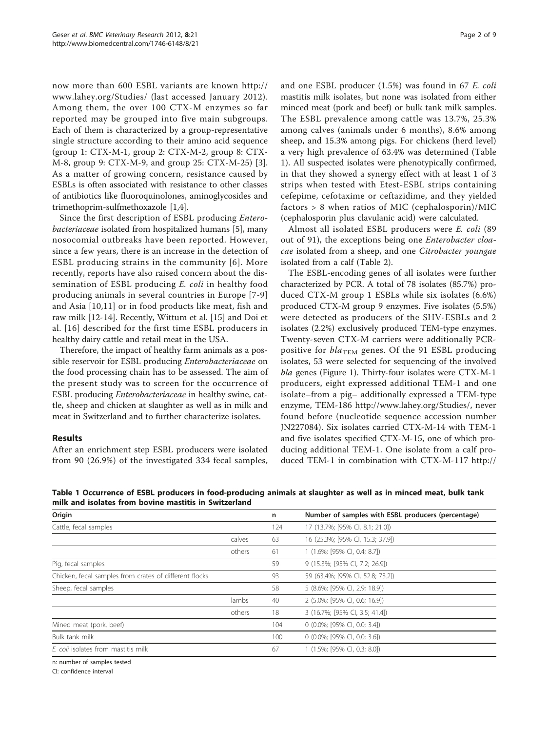now more than 600 ESBL variants are known [http://](http://www.lahey.org/Studies/) [www.lahey.org/Studies/](http://www.lahey.org/Studies/) (last accessed January 2012). Among them, the over 100 CTX-M enzymes so far reported may be grouped into five main subgroups. Each of them is characterized by a group-representative single structure according to their amino acid sequence (group 1: CTX-M-1, group 2: CTX-M-2, group 8: CTX-M-8, group 9: CTX-M-9, and group 25: CTX-M-25) [\[3](#page-7-0)]. As a matter of growing concern, resistance caused by ESBLs is often associated with resistance to other classes of antibiotics like fluoroquinolones, aminoglycosides and trimethoprim-sulfmethoxazole [\[1](#page-6-0)[,4](#page-7-0)].

Since the first description of ESBL producing Enterobacteriaceae isolated from hospitalized humans [\[5](#page-7-0)], many nosocomial outbreaks have been reported. However, since a few years, there is an increase in the detection of ESBL producing strains in the community [[6\]](#page-7-0). More recently, reports have also raised concern about the dissemination of ESBL producing E. coli in healthy food producing animals in several countries in Europe [\[7-9](#page-7-0)] and Asia [[10,11](#page-7-0)] or in food products like meat, fish and raw milk [[12-14](#page-7-0)]. Recently, Wittum et al. [\[15](#page-7-0)] and Doi et al. [[16\]](#page-7-0) described for the first time ESBL producers in healthy dairy cattle and retail meat in the USA.

Therefore, the impact of healthy farm animals as a possible reservoir for ESBL producing *Enterobacteriaceae* on the food processing chain has to be assessed. The aim of the present study was to screen for the occurrence of ESBL producing Enterobacteriaceae in healthy swine, cattle, sheep and chicken at slaughter as well as in milk and meat in Switzerland and to further characterize isolates.

## Results

After an enrichment step ESBL producers were isolated from 90 (26.9%) of the investigated 334 fecal samples, and one ESBL producer (1.5%) was found in 67 E. coli mastitis milk isolates, but none was isolated from either minced meat (pork and beef) or bulk tank milk samples. The ESBL prevalence among cattle was 13.7%, 25.3% among calves (animals under 6 months), 8.6% among sheep, and 15.3% among pigs. For chickens (herd level) a very high prevalence of 63.4% was determined (Table 1). All suspected isolates were phenotypically confirmed, in that they showed a synergy effect with at least 1 of 3 strips when tested with Etest-ESBL strips containing cefepime, cefotaxime or ceftazidime, and they yielded factors > 8 when ratios of MIC (cephalosporin)/MIC (cephalosporin plus clavulanic acid) were calculated.

Almost all isolated ESBL producers were E. coli (89 out of 91), the exceptions being one Enterobacter cloacae isolated from a sheep, and one Citrobacter youngae isolated from a calf (Table [2](#page-2-0)).

The ESBL-encoding genes of all isolates were further characterized by PCR. A total of 78 isolates (85.7%) produced CTX-M group 1 ESBLs while six isolates (6.6%) produced CTX-M group 9 enzymes. Five isolates (5.5%) were detected as producers of the SHV-ESBLs and 2 isolates (2.2%) exclusively produced TEM-type enzymes. Twenty-seven CTX-M carriers were additionally PCRpositive for  $bla_{\text{TEM}}$  genes. Of the 91 ESBL producing isolates, 53 were selected for sequencing of the involved bla genes (Figure [1\)](#page-4-0). Thirty-four isolates were CTX-M-1 producers, eight expressed additional TEM-1 and one isolate–from a pig– additionally expressed a TEM-type enzyme, TEM-186<http://www.lahey.org/Studies/>, never found before (nucleotide sequence accession number JN227084). Six isolates carried CTX-M-14 with TEM-1 and five isolates specified CTX-M-15, one of which producing additional TEM-1. One isolate from a calf produced TEM-1 in combination with CTX-M-117 [http://](http://www.lahey.org/Studies/)

| Origin                                                 |        | n   | Number of samples with ESBL producers (percentage) |
|--------------------------------------------------------|--------|-----|----------------------------------------------------|
| Cattle, fecal samples                                  |        | 124 | 17 (13.7%; [95% CI, 8.1; 21.0])                    |
|                                                        | calves | 63  | 16 (25.3%; [95% CI, 15.3; 37.9])                   |
|                                                        | others | 61  | 1 (1.6%; [95% CI, 0.4; 8.7])                       |
| Pig, fecal samples                                     |        | 59  | 9 (15.3%; [95% CI, 7.2; 26.9])                     |
| Chicken, fecal samples from crates of different flocks |        | 93  | 59 (63.4%; [95% CI, 52.8; 73.2])                   |
| Sheep, fecal samples                                   |        | 58  | 5 (8.6%; [95% CI, 2.9; 18.9])                      |
|                                                        | lambs  | 40  | 2 (5.0%; [95% CI, 0.6; 16.9])                      |
|                                                        | others | 18  | 3 (16.7%; [95% CI, 3.5; 41.4])                     |
| Mined meat (pork, beef)                                |        | 104 | $0$ (0.0%; [95% CI, 0.0; 3.4])                     |
| Bulk tank milk                                         |        | 100 | $0$ (0.0%; [95% CI, 0.0; 3.6])                     |
| E. coli isolates from mastitis milk                    |        | 67  | $1(1.5\%; [95\% \text{ Cl}, 0.3; 8.0])$            |
| .                                                      |        |     |                                                    |

Table 1 Occurrence of ESBL producers in food-producing animals at slaughter as well as in minced meat, bulk tank milk and isolates from bovine mastitis in Switzerland

n: number of samples tested

CI: confidence interval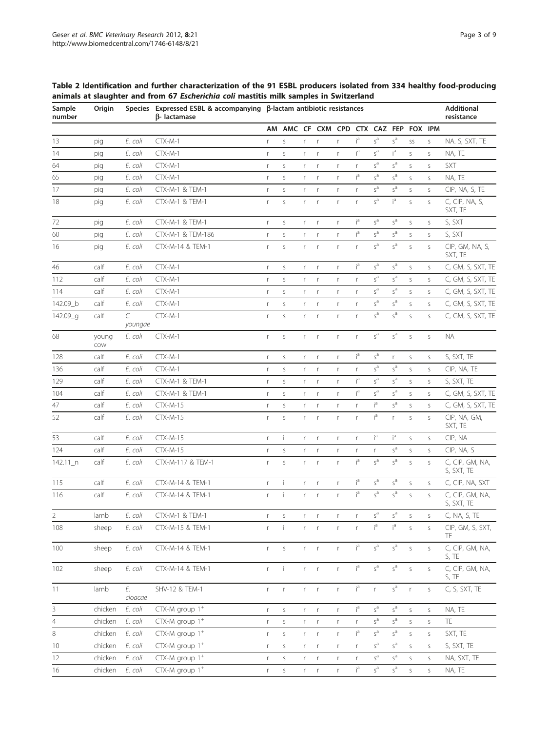<span id="page-2-0"></span>Table 2 Identification and further characterization of the 91 ESBL producers isolated from 334 healthy food-producing animals at slaughter and from 67 Escherichia coli mastitis milk samples in Switzerland

| Sample<br>number | Origin       |               | Species Expressed ESBL & accompanying β-lactam antibiotic resistances<br>B-lactamase |              |              | <b>Additional</b><br>resistance |                               |              |                |                        |                                          |              |              |                               |
|------------------|--------------|---------------|--------------------------------------------------------------------------------------|--------------|--------------|---------------------------------|-------------------------------|--------------|----------------|------------------------|------------------------------------------|--------------|--------------|-------------------------------|
|                  |              |               |                                                                                      |              |              |                                 | AM AMC CF CXM CPD CTX CAZ FEP |              |                |                        |                                          |              | FOX IPM      |                               |
| 13               | pig          | E. coli       | $CTX-M-1$                                                                            | r            | S            | r                               | $\mathsf r$                   | r            | iª             | $s^a$                  | $s^a$                                    | SS           | S            | NA. S, SXT, TE                |
| 14               | pig          | E. coli       | $CTX-M-1$                                                                            | r            | S            | r                               | r                             | r            | ia             | $s^a$                  | iª                                       | S            | S            | NA, TE                        |
| 64               | pig          | E. coli       | $CTX-M-1$                                                                            | r            | S            | r                               | r                             | r            | r              | $s^a$                  | $s^a$                                    | S            | S            | <b>SXT</b>                    |
| 65               | pig          | E. coli       | $CTX-M-1$                                                                            | r            | S            | r                               | $\mathsf r$                   | r            | ia             | $s^a$                  | $s^a$                                    | S            | S            | NA, TE                        |
| 17               | pig          | E. coli       | CTX-M-1 & TEM-1                                                                      | $\mathsf{r}$ | S            | r                               | $\mathsf r$                   | r            | r              | $s^a$                  | $s^a$                                    | S            | $\mathsf S$  | CIP, NA, S, TE                |
| 18               | pig          | E. coli       | <b>CTX-M-1 &amp; TEM-1</b>                                                           | $\mathsf{r}$ | S            | r                               | $\mathsf r$                   | r            | r              | $s^a$                  | ia                                       | $\mathsf S$  | S            | C, CIP, NA, S,<br>SXT, TE     |
| 72               | pig          | E. coli       | CTX-M-1 & TEM-1                                                                      | r            | S            | r                               | r                             | r            | ia             | $s^a$                  | $s^a$                                    | S            | S            | S, SXT                        |
| 60               | pig          | E. coli       | CTX-M-1 & TEM-186                                                                    | r            | S            | r                               | $\mathsf r$                   | $\mathsf{r}$ | i <sup>a</sup> | $s^a$                  | $s^a$                                    | S            | S            | S, SXT                        |
| 16               | pig          | E. coli       | CTX-M-14 & TEM-1                                                                     | r            | S            | $r -$                           | $\mathsf{r}$                  | $\mathsf{r}$ | r              | $s^a$                  | $s^a$                                    | $\mathsf S$  | S            | CIP, GM, NA, S,<br>SXT, TE    |
| 46               | calf         | E. coli       | $CTX-M-1$                                                                            | $\mathsf r$  | S            | r                               | $\mathsf r$                   | $\mathsf{r}$ | iª             | $s^a$                  | $s^a$                                    | S            | S            | C, GM, S, SXT, TE             |
| 112              | calf         | E. coli       | $CTX-M-1$                                                                            | $\mathsf r$  | S            | r                               | $\mathsf r$                   | r            | r              | $s^a$                  | $s^a$                                    | S            | $\mathsf S$  | C, GM, S, SXT, TE             |
| 114              | calf         | E. coli       | $CTX-M-1$                                                                            | r            | S            | r                               | r                             | r            | r              | $s^a$                  | $s^a$                                    | S            | S            | C, GM, S, SXT, TE             |
| 142.09_b         | calf         | E. coli       | $CTX-M-1$                                                                            | r            | S            | r                               | r                             | r            | r              | $s^a$                  | $s^a$                                    | S            | $\mathsf S$  | C, GM, S, SXT, TE             |
| 142.09_g         | calf         | C.<br>youngae | $CTX-M-1$                                                                            | r            | S            | r                               | $\mathsf r$                   | $\mathsf{r}$ | r              | $s^a$                  | $s^a$                                    | S            | S            | C, GM, S, SXT, TE             |
| 68               | young<br>COW | E. coli       | $CTX-M-1$                                                                            | $\mathsf{r}$ | S            | r                               | $\mathsf r$                   | $\mathsf{r}$ | r              | $s^a$                  | $s^a$                                    | S            | $\mathsf{S}$ | <b>NA</b>                     |
| 128              | calf         | E. coli       | $CTX-M-1$                                                                            | $\mathsf r$  | $\sf S$      | r.                              | $\mathsf r$                   | $\mathsf{r}$ | iª             | $s^a$                  | r                                        | $\mathsf S$  | $\mathsf S$  | S, SXT, TE                    |
| 136              | calf         | E. coli       | $CTX-M-1$                                                                            | r            | S            | r                               | r                             | r            | r              | $s^a$                  | $s^a$                                    | S            | S            | CIP, NA, TE                   |
| 129              | calf         | E. coli       | CTX-M-1 & TEM-1                                                                      | r            | S            | r                               | $\mathsf r$                   | $\mathsf{r}$ | ią             | $s^a$                  | $s^a$                                    | S            | S            | S, SXT, TE                    |
| 104              | calf         | E. coli       | <b>CTX-M-1 &amp; TEM-1</b>                                                           | $\mathsf r$  | S            | r                               | r                             | $\mathsf{r}$ | ią             | $s^a$                  | $s^a$                                    | S            | $\mathsf S$  | C, GM, S, SXT, TE             |
| 47               | calf         | E. coli       | <b>CTX-M-15</b>                                                                      | $\mathsf r$  | S            | r                               | $\mathsf r$                   | r            | r              | $i^a$                  | $s^a$                                    | S            | $\mathsf S$  | C, GM, S, SXT, TE             |
| 52               | calf         | E. coli       | <b>CTX-M-15</b>                                                                      | r            | S            | $r -$                           | $\mathsf{r}$                  | r            | r              | i <sup>a</sup>         | r                                        | S            | $\mathsf S$  | CIP, NA, GM,<br>SXT, TE       |
| 53               | calf         | E. coli       | $CTX-M-15$                                                                           | r            | Ť            | r                               | $\mathsf r$                   | r            | r              | i <sup>a</sup>         | iª                                       | S            | S            | CIP, NA                       |
| 124              | calf         | E. coli       | <b>CTX-M-15</b>                                                                      | $\mathsf r$  | S            | r.                              | r                             | r            | r              | $\mathsf r$            | $s^a$                                    | S            | S            | CIP, NA, S                    |
| $142.11$ _n      | calf         | E. coli       | CTX-M-117 & TEM-1                                                                    | r            | S            | $r$ $r$                         |                               | $\mathsf{r}$ | iª             | $s^a$                  | $s^a$                                    | S            | S            | C, CIP, GM, NA,<br>S, SXT, TE |
| 115              | calf         | E. coli       | CTX-M-14 & TEM-1                                                                     | r            | Ť            | r                               | r                             | r            | iª             | $s^a$                  | $s^a$                                    | S            | $\mathsf S$  | C, CIP, NA, SXT               |
| 116              | calf         | E. coli       | CTX-M-14 & TEM-1                                                                     | $\mathsf{r}$ | Ť            | $r -$                           | $\mathsf{r}$                  | $\mathsf{r}$ | iª             | $s^a$                  | $s^a$                                    | $\mathsf{S}$ | $\mathsf S$  | C, CIP, GM, NA,<br>S, SXT, TE |
| $2\overline{ }$  | lamb         | E. coli       | CTX-M-1 & TEM-1                                                                      |              | S            |                                 |                               |              |                | $\varsigma^{\text{a}}$ | $s^a$                                    | S            | S            | C, NA, S, TE                  |
| 108              | sheep        | E. coli       | CTX-M-15 & TEM-1                                                                     | r            | Ť            | r.                              | r                             | r            | r              | i <sup>a</sup>         | i <sup>a</sup>                           | $\mathsf S$  | S            | CIP, GM, S, SXT,<br>TE        |
| 100              | sheep        | E. coli       | CTX-M-14 & TEM-1                                                                     | r            | $\mathsf S$  | $r$ $r$                         |                               | $\mathsf{r}$ | $i^a$          | $s^a$                  | $\varsigma^{\text{a}}$                   | $\mathsf S$  | S            | C, CIP, GM, NA,<br>S, TE      |
| 102              | sheep        | E. coli       | CTX-M-14 & TEM-1                                                                     | $r -$        | $\mathbf{I}$ | $r - r$                         |                               | $\mathsf{r}$ | $i^a$          | $s^a$                  | $\varsigma^{\text{a}}$                   | $\mathsf S$  | $\mathsf S$  | C, CIP, GM, NA,<br>S, TE      |
| 11               | lamb         | Е.<br>cloacae | SHV-12 & TEM-1                                                                       | $\mathsf{r}$ | $\mathsf{r}$ | $r$ $r$                         |                               | $\mathsf{r}$ | iª             | $\mathsf r$            | $\boldsymbol{\mathsf{s}}^\textnormal{a}$ | $\mathsf{r}$ | $\mathsf S$  | C, S, SXT, TE                 |
| 3                | chicken      | E. coli       | CTX-M group 1 <sup>+</sup>                                                           | r            | S            | r                               | $\mathsf r$                   | $\mathsf{r}$ | i <sup>a</sup> | $s^a$                  | $s^a$                                    | S            | S            | NA, TE                        |
| $\overline{4}$   | chicken      | E. coli       | $CTX-M$ group $1^+$                                                                  | r            | S            | r                               | $\mathsf{r}$                  | r            | r              | $s^a$                  | $s^a$                                    | S            | S            | TE                            |
| 8                | chicken      | E. coli       | CTX-M group 1 <sup>+</sup>                                                           | r            | S            | r                               | $\mathsf{r}$                  | r            | ia             | $s^a$                  | $\boldsymbol{\mathsf{s}}^\text{a}$       | $\mathsf S$  | $\mathsf S$  | SXT, TE                       |
| 10               | chicken      | E. coli       | CTX-M group 1 <sup>+</sup>                                                           | r            | $\mathsf S$  | $r -$                           | $\mathsf{r}$                  | r            | r              | $s^a$                  | $s^a$                                    | S            | S            | S, SXT, TE                    |
| 12               | chicken      | E. coli       | $CTX-M$ group $1^+$                                                                  | r            | S            | r.                              | r                             | r            | r              | $s^a$                  | $s^a$                                    | S            | S            | NA, SXT, TE                   |
| 16               | chicken      | E. coli       | $CTX-M$ group $1^+$                                                                  | r            | $\sf S$      | r.                              | $\mathsf r$                   | $\mathsf{r}$ | i <sup>a</sup> | $s^a$                  | $s^a$                                    | S            | $\mathsf S$  | NA, TE                        |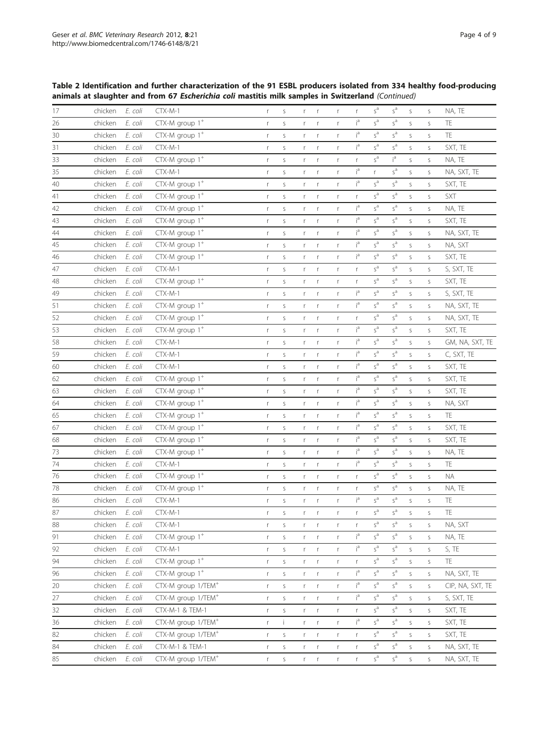Table 2 Identification and further characterization of the 91 ESBL producers isolated from 334 healthy food-producing animals at slaughter and from 67 Escherichia coli mastitis milk samples in Switzerland (Continued)

| 17     | chicken | E. coli | $CTX-M-1$                      | r            | S             | r            | $\mathsf r$             | r                 | r              | $s^a$        | $s^a$                  | S                | S                | NA, TE           |
|--------|---------|---------|--------------------------------|--------------|---------------|--------------|-------------------------|-------------------|----------------|--------------|------------------------|------------------|------------------|------------------|
| 26     | chicken | E. coli | $CTX-M$ group $1^+$            | r            | $\mathsf S$   | r            | r                       | $\mathsf{r}$      | ia             | $s^a$        | $\varsigma^{\text{a}}$ | S                | $\mathsf S$      | TE               |
| 30     | chicken | E. coli | CTX-M group $1^+$              | $\mathsf r$  | $\mathsf S$   | r            | $\mathsf r$             | r                 | iª             | $s^a$        | $s^a$                  | $\mathsf S$      | $\mathsf S$      | TE               |
| 31     | chicken | E. coli | $CTX-M-1$                      | $\mathsf r$  | $\mathsf S$   | $\mathsf{r}$ | $\mathsf r$             | r                 | i <sup>a</sup> | $s^a$        | $s^a$                  | $\mathsf S$      | $\mathsf S$      | SXT, TE          |
| 33     | chicken | E. coli | CTX-M group 1 <sup>+</sup>     | r            | S             | r            | r                       | $\mathsf{r}$      | r              | $s^a$        | ia                     | S                | $\mathsf S$      | NA, TE           |
| 35     | chicken | E. coli | $CTX-M-1$                      | r            | S             | r            | $\mathsf r$             | $\mathsf{r}$      | iª             | $\mathsf{r}$ | $s^a$                  | $\mathsf S$      | $\mathsf S$      | NA, SXT, TE      |
| 40     | chicken | E. coli | CTX-M group 1 <sup>+</sup>     | $\mathsf r$  | S             | r            | $\mathsf r$             | $\mathsf{r}$      | iª             | $s^a$        | $s^a$                  | S                | $\mathsf S$      | SXT, TE          |
| 41     | chicken | E. coli | $CTX-M$ group $1^+$            | r            | S             | r            | $\mathsf r$             | r                 | r              | $s^a$        | $\overline{s}^{a}$     | $\mathsf S$      | $\mathsf S$      | SXT              |
| 42     | chicken | E. coli | $CTX-M$ group $1^+$            | r            | S             | r            | $\mathsf r$             | $\mathsf{r}$      | iª             | $s^a$        | $s^a$                  | $\mathsf S$      | $\mathsf S$      | NA, TE           |
| 43     | chicken | E. coli | CTX-M group $1^+$              | r            | S             | r            | $\mathsf r$             | $\mathsf{r}$      | ia             | $s^a$        | $\varsigma^{\text{a}}$ | S                | $\mathsf S$      | SXT, TE          |
| 44     | chicken | E. coli | CTX-M group $1^+$              | $\mathsf r$  | S             | r            | r                       | r                 | iª             | $s^a$        | $s^a$                  | S                | $\mathsf S$      | NA, SXT, TE      |
| 45     | chicken | E. coli | CTX-M group $1^+$              | r            | S             | r            | $\mathsf r$             | $\mathsf{r}$      | i <sup>a</sup> | $s^a$        | $s^a$                  | S                | $\mathsf S$      | NA, SXT          |
| 46     | chicken | E. coli | $CTX-M$ group $1^+$            | r            | $\sf S$       | r            | $\mathsf r$             | $\mathsf{r}$      | i <sup>a</sup> | $s^a$        | $\varsigma^{\rm a}$    | $\sf S$          | $\mathsf S$      | SXT, TE          |
| 47     | chicken | E. coli | $CTX-M-1$                      | $\mathsf r$  | S             | r            | $\mathsf r$             | $\mathsf{r}$      | r              | $s^a$        | $s^a$                  | $\mathsf S$      | $\mathsf S$      | S, SXT, TE       |
| 48     | chicken | E. coli | $CTX-M$ group $1^+$            | r            | S             | r            | $\mathsf r$             | $\mathsf{r}$      | r              | $s^a$        | $\varsigma^{\text{a}}$ | S                | S                | SXT, TE          |
| 49     | chicken | E. coli | $CTX-M-1$                      | r            | S             | r            | $\mathsf r$             | $\mathsf{r}$      | iª             | $s^a$        | $s^a$                  | $\mathsf S$      | $\mathsf S$      | S, SXT, TE       |
| 51     | chicken | E. coli | CTX-M group 1 <sup>+</sup>     | r            | S             | r            | r                       | $\mathsf{r}$      | i <sup>a</sup> | $s^a$        | $s^a$                  | S                | $\mathsf S$      | NA, SXT, TE      |
| 52     | chicken | E. coli | $CTX-M$ group $1^+$            | r            | S             | r            | $\mathsf r$             | r                 | r              | $s^a$        | $s^a$                  | $\mathsf S$      | $\mathsf S$      | NA, SXT, TE      |
| 53     | chicken | E. coli | $CTX-M$ group $1^+$            | r            | S             | r            | $\mathsf r$             | $\mathsf{r}$      | iª             | $s^a$        | $s^a$                  | S                | $\mathsf S$      | SXT, TE          |
| 58     | chicken | E. coli | $CTX-M-1$                      | r            | S             | r            | r                       | $\mathsf{r}$      | ia             | $s^a$        | $s^a$                  | S                | $\mathsf S$      | GM, NA, SXT, TE  |
| 59     | chicken | E. coli | $CTX-M-1$                      | r            | S             | r            | $\mathsf r$             | r                 | ią             | $s^a$        | $s^a$                  | S                | $\mathsf S$      | C, SXT, TE       |
| 60     | chicken | E. coli | $CTX-M-1$                      | r            | $\sf S$       | r            | r                       | $\mathsf{r}$      | i <sup>a</sup> | $s^a$        | $s^a$                  | S                | $\mathsf S$      | SXT, TE          |
| 62     | chicken | E. coli | CTX-M group 1 <sup>+</sup>     | r            | $\mathsf S$   | r            | $\mathsf r$             | r                 | iª             | $s^a$        | $\varsigma^{\rm a}$    | $\sf S$          | $\mathsf S$      | SXT, TE          |
| 63     | chicken | E. coli | $CTX-M$ group $1^+$            | r            | S             | r            | $\mathsf r$             | $\mathsf{r}$      | ia             | $s^a$        | $s^a$                  | $\mathsf S$      | $\mathsf S$      | SXT, TE          |
| 64     | chicken | E. coli | $CTX-M$ group $1^+$            | r            | S             | r            | $\mathsf r$             | $\mathsf{r}$      | ia             | $s^a$        | $\varsigma^{\text{a}}$ | S                | $\mathsf S$      | NA, SXT          |
| 65     | chicken | E. coli | $CTX-M$ group $1^+$            | $\mathsf r$  | S             | r            | $\mathsf r$             | $\mathsf{r}$      | iª             | $s^a$        | $s^a$                  | $\mathsf S$      | $\mathsf S$      | TE               |
| 67     | chicken | E. coli | CTX-M group $1^+$              | r            | S             | r            | $\mathsf r$             | $\mathsf{r}$      | iª             | $s^a$        | $s^a$                  | S                | $\mathsf S$      | SXT, TE          |
| 68     | chicken | E. coli | $CTX-M$ group $1^+$            | r            | $\mathsf S$   | r            | $\mathsf r$             | $\mathsf{r}$      | i <sup>a</sup> | $s^a$        | $s^a$                  | S                | $\mathsf S$      | SXT, TE          |
| 73     | chicken | E. coli | $CTX-M$ group $1^+$            | r            | $\sf S$       | r            | $\mathsf r$             | $\mathsf{r}$      | iª             | $s^a$        | $s^a$                  | $\mathsf S$      | $\mathsf S$      | NA, TE           |
| 74     | chicken | E. coli | $CTX-M-1$                      | r            | S             | r            | $\mathsf r$             | $\mathsf{r}$      | ia             | $s^a$        | $s^a$                  | S                | $\mathsf{S}$     | TE               |
| 76     | chicken | E. coli | CTX-M group $1^+$              | r            | $\sf S$       | r            | r                       | r                 | r              | $s^a$        | $s^a$                  | $\mathsf S$      | $\mathsf S$      | <b>NA</b>        |
| 78     | chicken | E. coli | $CTX-M$ group $1^+$            | r            | S             | r            | $\mathsf r$             | r                 | r              | $s^a$        | $s^a$                  | S                | S                | NA, TE           |
| 86     | chicken | E. coli | $CTX-M-1$                      | r            | $\mathsf{S}$  | r.           | $\mathsf{r}$            | $\mathsf{r}$      | i <sup>a</sup> | $s^a$        | $s^a$                  | $\mathsf S$      | $\mathsf S$      | TE               |
| $87\,$ | chicken | E. coli | CTX-M-1                        | r            | S             | r            | r                       | r                 | r              | $s^a$        | $s^a$                  | $\mathsf{S}$     | S                | TE               |
| 88     | chicken | E. coli | $CTX-M-1$                      | r            | S             | $r -$        | $\mathsf{r}$            | r                 | r              | $s^a$        | $s^a$                  | $\mathsf S$      | S                | NA, SXT          |
| 91     | chicken | E. coli | $CTX-M$ group $1^+$            | r            | $\mathsf S$   | r            | $\mathsf r$             | r                 | iª             | $s^a$        | $s^a$                  | S                | $\mathsf S$      | NA, TE           |
| 92     | chicken | E. coli | $CTX-M-1$                      | r            | $\sf S$       | $r -$        | $\mathsf{r}$            | $\mathsf{r}$      | iª             | $s^a$        | $s^a$                  | S                | S                | S, TE            |
| 94     | chicken | E. coli | $CTX-M$ group $1^+$            | r            | $\sf S$       |              | $r$ r                   | r                 | r              | $s^a$        | $\varsigma^{\rm a}$    | $\mathsf S$      | $\mathsf S$      | $\mathsf{TE}$    |
| 96     | chicken | E. coli | CTX-M group 1 <sup>+</sup>     | $\mathsf{r}$ | $\mathsf S$   | r            | $\mathsf r$             | r                 | iª             | $s^a$        | $s^a$                  | $\mathsf S$      | $\mathsf S$      | NA, SXT, TE      |
| 20     | chicken | E. coli | CTX-M group 1/TEM <sup>+</sup> | $\mathsf{r}$ | $\mathsf S$   | r.           | $\mathsf r$             | $\mathsf{r}$      | ia             | $s^a$        | $\varsigma^{\text{a}}$ | S                | S                | CIP, NA, SXT, TE |
| 27     | chicken | E. coli | CTX-M group 1/TEM <sup>+</sup> | r            | $\sf S$       | r            | $\mathsf r$             | $\mathsf{r}$      | i <sup>a</sup> | $s^a$        | $s^a$                  | $\mathsf S$      | $\mathsf S$      | S, SXT, TE       |
| 32     | chicken | E. coli | CTX-M-1 & TEM-1                |              |               |              |                         |                   |                | $s^a$        | $\varsigma^{\rm a}$    |                  |                  | SXT, TE          |
| 36     | chicken | E. coli | CTX-M group 1/TEM <sup>+</sup> | r<br>r       | $\sf S$<br>Ť. | $r -$        | $\mathsf{r}$<br>$r - r$ | r                 | r<br>iª        | $s^a$        | $s^a$                  | S<br>$\mathsf S$ | S<br>$\mathsf S$ | SXT, TE          |
| 82     | chicken | E. coli | CTX-M group 1/TEM <sup>+</sup> | r            | $\mathsf S$   | r            | $\mathsf{r}$            | r<br>$\mathsf{r}$ | r              | $s^a$        | $s^a$                  | $\mathsf S$      | $\mathsf S$      | SXT, TE          |
| 84     | chicken | E. coli | CTX-M-1 & TEM-1                |              | $\mathsf S$   |              |                         | $\Gamma$          | r              | $s^a$        | $\varsigma^{\text{a}}$ | $\mathsf S$      | $\mathsf S$      | NA, SXT, TE      |
|        |         |         |                                | r            |               |              | $r$ $r$                 |                   |                | $s^a$        | $s^a$                  |                  |                  |                  |
| 85     | chicken | E. coli | CTX-M group 1/TEM <sup>+</sup> | r            | $\sf S$       | r.           | r                       | r                 | r              |              |                        | $\mathsf S$      | $\mathsf S$      | NA, SXT, TE      |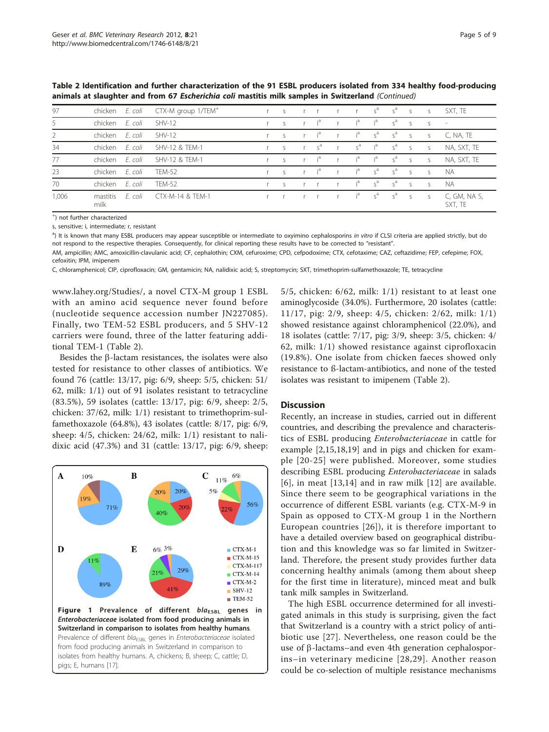| 97             | chicken          | E. coli | CTX-M group 1/TEM <sup>+</sup> | $r_S$        | $r \t r$         |              |                | r s <sup>a</sup> s <sup>a</sup> s |                     |              | S            | SXT, TE                 |
|----------------|------------------|---------|--------------------------------|--------------|------------------|--------------|----------------|-----------------------------------|---------------------|--------------|--------------|-------------------------|
| 5              | chicken          | E. coli | $SHV-12$                       | $\varsigma$  | r i <sup>a</sup> | r.           | $i^a$          | $i^a$                             | $\varsigma^a$       | $\mathsf{S}$ | $S_{\rm c}$  | $\sim$                  |
| $\overline{2}$ | chicken          | E. coli | $SHV-12$                       | $\mathsf{S}$ | r i <sup>a</sup> | r            | $i^a$          | $\varsigma^a$                     | $s^a$               | $\mathsf{S}$ | <sub>S</sub> | C, NA, TE               |
| 34             | chicken          | E. coli | SHV-12 & TFM-1                 | S            | $r_s^a$          |              | $s^a$          | $i^a$                             | $s^a$               | $\mathsf{S}$ | S            | NA, SXT, TE             |
| 77             | chicken          | E. coli | SHV-12 & TEM-1                 | $\mathsf{S}$ | r i <sup>a</sup> | r            | i <sup>a</sup> | $i^a$                             | $s^a$               | S            | S            | NA, SXT, TE             |
| 23             | chicken          | E. coli | <b>TFM-52</b>                  | $\mathsf{S}$ | r i <sup>a</sup> | r            | $i^a$ $s^a$    |                                   | $S^a$               | $\sim$       | $\varsigma$  | <b>NA</b>               |
| 70             | chicken          | E. coli | <b>TEM-52</b>                  | $\varsigma$  | $r$ $r$          | $\mathbf{r}$ | i <sup>a</sup> | $S^a$                             | $\varsigma^a$       | $\varsigma$  | $\varsigma$  | <b>NA</b>               |
| 1,006          | mastitis<br>milk | F. coli | CTX-M-14 & TEM-1               |              | r r              |              | $i^a$          | $s^a$                             | $\varsigma^{\rm d}$ | $\mathsf{S}$ | $\mathsf{S}$ | C, GM, NA S,<br>SXT, TE |

<span id="page-4-0"></span>Table 2 Identification and further characterization of the 91 ESBL producers isolated from 334 healthy food-producing animals at slaughter and from 67 Escherichia coli mastitis milk samples in Switzerland (Continued)

+ ) not further characterized

s, sensitive; i, intermediate; r, resistant

<sup>a</sup>) It is known that many ESBL producers may appear susceptible or intermediate to oxyimino cephalosporins in vitro if CLSI criteria are applied strictly, but do not respond to the respective therapies. Consequently, for clinical reporting these results have to be corrected to "resistant".

AM, ampicillin; AMC, amoxicillin-clavulanic acid; CF, cephalothin; CXM, cefuroxime; CPD, cefpodoxime; CTX, cefotaxime; CAZ, ceftazidime; FEP, cefepime; FOX,

cefoxitin; IPM, imipenem C, chloramphenicol; CIP, ciprofloxacin; GM, gentamicin; NA, nalidixic acid; S, streptomycin; SXT, trimethoprim-sulfamethoxazole; TE, tetracycline

[www.lahey.org/Studies/](http://www.lahey.org/Studies/), a novel CTX-M group 1 ESBL with an amino acid sequence never found before (nucleotide sequence accession number JN227085). Finally, two TEM-52 ESBL producers, and 5 SHV-12 carriers were found, three of the latter featuring additional TEM-1 (Table [2\)](#page-2-0).

Besides the  $\beta$ -lactam resistances, the isolates were also tested for resistance to other classes of antibiotics. We found 76 (cattle: 13/17, pig: 6/9, sheep: 5/5, chicken: 51/ 62, milk: 1/1) out of 91 isolates resistant to tetracycline (83.5%), 59 isolates (cattle: 13/17, pig: 6/9, sheep: 2/5, chicken: 37/62, milk: 1/1) resistant to trimethoprim-sulfamethoxazole (64.8%), 43 isolates (cattle: 8/17, pig: 6/9, sheep: 4/5, chicken: 24/62, milk: 1/1) resistant to nalidixic acid (47.3%) and 31 (cattle: 13/17, pig: 6/9, sheep:



5/5, chicken: 6/62, milk: 1/1) resistant to at least one aminoglycoside (34.0%). Furthermore, 20 isolates (cattle: 11/17, pig: 2/9, sheep: 4/5, chicken: 2/62, milk: 1/1) showed resistance against chloramphenicol (22.0%), and 18 isolates (cattle: 7/17, pig: 3/9, sheep: 3/5, chicken: 4/ 62, milk: 1/1) showed resistance against ciprofloxacin (19.8%). One isolate from chicken faeces showed only resistance to ß-lactam-antibiotics, and none of the tested isolates was resistant to imipenem (Table [2\)](#page-2-0).

## **Discussion**

Recently, an increase in studies, carried out in different countries, and describing the prevalence and characteristics of ESBL producing Enterobacteriaceae in cattle for example [[2,](#page-6-0)[15,18,19](#page-7-0)] and in pigs and chicken for example [[20](#page-7-0)-[25\]](#page-7-0) were published. Moreover, some studies describing ESBL producing Enterobacteriaceae in salads [[6](#page-7-0)], in meat [[13,14](#page-7-0)] and in raw milk [[12\]](#page-7-0) are available. Since there seem to be geographical variations in the occurrence of different ESBL variants (e.g. CTX-M-9 in Spain as opposed to CTX-M group 1 in the Northern European countries [[26\]](#page-7-0)), it is therefore important to have a detailed overview based on geographical distribution and this knowledge was so far limited in Switzerland. Therefore, the present study provides further data concerning healthy animals (among them about sheep for the first time in literature), minced meat and bulk tank milk samples in Switzerland.

The high ESBL occurrence determined for all investigated animals in this study is surprising, given the fact that Switzerland is a country with a strict policy of antibiotic use [[27\]](#page-7-0). Nevertheless, one reason could be the use of  $\beta$ -lactams–and even 4th generation cephalosporins–in veterinary medicine [[28,29](#page-7-0)]. Another reason could be co-selection of multiple resistance mechanisms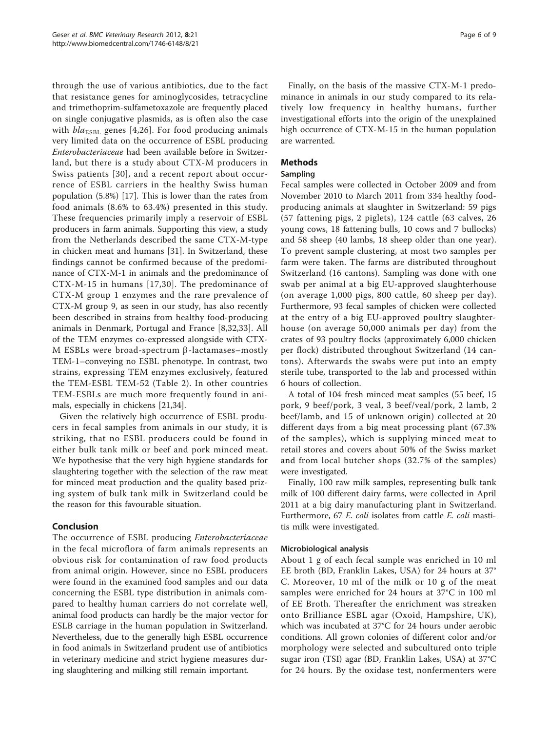through the use of various antibiotics, due to the fact that resistance genes for aminoglycosides, tetracycline and trimethoprim-sulfametoxazole are frequently placed on single conjugative plasmids, as is often also the case with  $bla_{ESBL}$  genes [[4,26](#page-7-0)]. For food producing animals very limited data on the occurrence of ESBL producing Enterobacteriaceae had been available before in Switzerland, but there is a study about CTX-M producers in Swiss patients [\[30\]](#page-7-0), and a recent report about occurrence of ESBL carriers in the healthy Swiss human population (5.8%) [\[17](#page-7-0)]. This is lower than the rates from food animals (8.6% to 63.4%) presented in this study. These frequencies primarily imply a reservoir of ESBL producers in farm animals. Supporting this view, a study from the Netherlands described the same CTX-M-type in chicken meat and humans [[31\]](#page-7-0). In Switzerland, these findings cannot be confirmed because of the predominance of CTX-M-1 in animals and the predominance of CTX-M-15 in humans [[17](#page-7-0),[30\]](#page-7-0). The predominance of CTX-M group 1 enzymes and the rare prevalence of CTX-M group 9, as seen in our study, has also recently been described in strains from healthy food-producing animals in Denmark, Portugal and France [[8,32,33](#page-7-0)]. All of the TEM enzymes co-expressed alongside with CTX-M ESBLs were broad-spectrum  $\beta$ -lactamases–mostly TEM-1–conveying no ESBL phenotype. In contrast, two strains, expressing TEM enzymes exclusively, featured the TEM-ESBL TEM-52 (Table [2](#page-2-0)). In other countries TEM-ESBLs are much more frequently found in animals, especially in chickens [\[21,34\]](#page-7-0).

Given the relatively high occurrence of ESBL producers in fecal samples from animals in our study, it is striking, that no ESBL producers could be found in either bulk tank milk or beef and pork minced meat. We hypothesise that the very high hygiene standards for slaughtering together with the selection of the raw meat for minced meat production and the quality based prizing system of bulk tank milk in Switzerland could be the reason for this favourable situation.

# Conclusion

The occurrence of ESBL producing Enterobacteriaceae in the fecal microflora of farm animals represents an obvious risk for contamination of raw food products from animal origin. However, since no ESBL producers were found in the examined food samples and our data concerning the ESBL type distribution in animals compared to healthy human carriers do not correlate well, animal food products can hardly be the major vector for ESLB carriage in the human population in Switzerland. Nevertheless, due to the generally high ESBL occurrence in food animals in Switzerland prudent use of antibiotics in veterinary medicine and strict hygiene measures during slaughtering and milking still remain important.

Finally, on the basis of the massive CTX-M-1 predominance in animals in our study compared to its relatively low frequency in healthy humans, further investigational efforts into the origin of the unexplained high occurrence of CTX-M-15 in the human population are warrented.

# Methods

# Sampling

Fecal samples were collected in October 2009 and from November 2010 to March 2011 from 334 healthy foodproducing animals at slaughter in Switzerland: 59 pigs (57 fattening pigs, 2 piglets), 124 cattle (63 calves, 26 young cows, 18 fattening bulls, 10 cows and 7 bullocks) and 58 sheep (40 lambs, 18 sheep older than one year). To prevent sample clustering, at most two samples per farm were taken. The farms are distributed throughout Switzerland (16 cantons). Sampling was done with one swab per animal at a big EU-approved slaughterhouse (on average 1,000 pigs, 800 cattle, 60 sheep per day). Furthermore, 93 fecal samples of chicken were collected at the entry of a big EU-approved poultry slaughterhouse (on average 50,000 animals per day) from the crates of 93 poultry flocks (approximately 6,000 chicken per flock) distributed throughout Switzerland (14 cantons). Afterwards the swabs were put into an empty sterile tube, transported to the lab and processed within 6 hours of collection.

A total of 104 fresh minced meat samples (55 beef, 15 pork, 9 beef/pork, 3 veal, 3 beef/veal/pork, 2 lamb, 2 beef/lamb, and 15 of unknown origin) collected at 20 different days from a big meat processing plant (67.3% of the samples), which is supplying minced meat to retail stores and covers about 50% of the Swiss market and from local butcher shops (32.7% of the samples) were investigated.

Finally, 100 raw milk samples, representing bulk tank milk of 100 different dairy farms, were collected in April 2011 at a big dairy manufacturing plant in Switzerland. Furthermore, 67 E. coli isolates from cattle E. coli mastitis milk were investigated.

## Microbiological analysis

About 1 g of each fecal sample was enriched in 10 ml EE broth (BD, Franklin Lakes, USA) for 24 hours at 37° C. Moreover, 10 ml of the milk or 10 g of the meat samples were enriched for 24 hours at 37°C in 100 ml of EE Broth. Thereafter the enrichment was streaken onto Brilliance ESBL agar (Oxoid, Hampshire, UK), which was incubated at 37°C for 24 hours under aerobic conditions. All grown colonies of different color and/or morphology were selected and subcultured onto triple sugar iron (TSI) agar (BD, Franklin Lakes, USA) at 37°C for 24 hours. By the oxidase test, nonfermenters were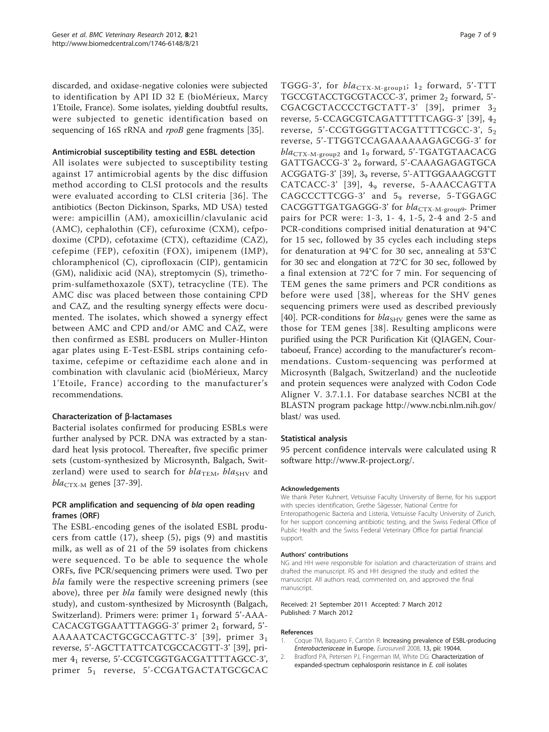<span id="page-6-0"></span>discarded, and oxidase-negative colonies were subjected to identification by API ID 32 E (bioMérieux, Marcy 1'Etoile, France). Some isolates, yielding doubtful results, were subjected to genetic identification based on sequencing of 16S rRNA and rpoB gene fragments [\[35](#page-7-0)].

# Antimicrobial susceptibility testing and ESBL detection

All isolates were subjected to susceptibility testing against 17 antimicrobial agents by the disc diffusion method according to CLSI protocols and the results were evaluated according to CLSI criteria [[36\]](#page-7-0). The antibiotics (Becton Dickinson, Sparks, MD USA) tested were: ampicillin (AM), amoxicillin/clavulanic acid (AMC), cephalothin (CF), cefuroxime (CXM), cefpodoxime (CPD), cefotaxime (CTX), ceftazidime (CAZ), cefepime (FEP), cefoxitin (FOX), imipenem (IMP), chloramphenicol (C), ciprofloxacin (CIP), gentamicin (GM), nalidixic acid (NA), streptomycin (S), trimethoprim-sulfamethoxazole (SXT), tetracycline (TE). The AMC disc was placed between those containing CPD and CAZ, and the resulting synergy effects were documented. The isolates, which showed a synergy effect between AMC and CPD and/or AMC and CAZ, were then confirmed as ESBL producers on Muller-Hinton agar plates using E-Test-ESBL strips containing cefotaxime, cefepime or ceftazidime each alone and in combination with clavulanic acid (bioMérieux, Marcy 1'Etoile, France) according to the manufacturer's recommendations.

# Characterization of  $\beta$ -lactamases

Bacterial isolates confirmed for producing ESBLs were further analysed by PCR. DNA was extracted by a standard heat lysis protocol. Thereafter, five specific primer sets (custom-synthesized by Microsynth, Balgach, Switzerland) were used to search for  $bla_{\text{TEM}}$ ,  $bla_{\text{SHV}}$  and  $bla_{\text{CTX-M}}$  genes [\[37](#page-7-0)-[39](#page-8-0)].

# PCR amplification and sequencing of bla open reading frames (ORF)

The ESBL-encoding genes of the isolated ESBL producers from cattle (17), sheep (5), pigs (9) and mastitis milk, as well as of 21 of the 59 isolates from chickens were sequenced. To be able to sequence the whole ORFs, five PCR/sequencing primers were used. Two per bla family were the respective screening primers (see above), three per *bla* family were designed newly (this study), and custom-synthesized by Microsynth (Balgach, Switzerland). Primers were: primer  $1<sub>1</sub>$  forward 5'-AAA-CACACGTGGAATTTAGGG-3' primer 21 forward, 5'-AAAAATCACTGCGCCAGTTC-3' [[39\]](#page-8-0), primer 31 reverse, 5'-AGCTTATTCATCGCCACGTT-3' [\[39](#page-8-0)], primer 41 reverse, 5'-CCGTCGGTGACGATTTTAGCC-3', primer 5<sub>1</sub> reverse, 5'-CCGATGACTATGCGCAC TGGG-3', for  $bla_{\text{CTX-M-group1}}$ ; 1<sub>2</sub> forward, 5'-TTT TGCCGTACCTGCGTACCC-3', primer 22 forward, 5'-CGACGCTACCCCTGCTATT-3' [[39](#page-8-0)], primer 32 reverse, 5-CCAGCGTCAGATTTTTCAGG-3' [[39](#page-8-0)], 42 reverse, 5'-CCGTGGGTTACGATTTTCGCC-3', 52 reverse, 5'-TTGGTCCAGAAAAAAGAGCGG-3' for  $bla_{\text{CTX-M-group2}}$  and 1<sub>9</sub> forward, 5'-TGATGTAACACG GATTGACCG-3' 29 forward, 5'-CAAAGAGAGTGCA ACGGATG-3' [\[39](#page-8-0)], 39 reverse, 5'-ATTGGAAAGCGTT CATCACC-3' [[39](#page-8-0)], 4<sub>9</sub> reverse, 5-AAACCAGTTA  $CAGCCTTCGG-3'$  and  $5<sub>9</sub>$  reverse, 5-TGGAGC CACGGTTGATGAGGG-3' for bla<sub>CTX-M-group9</sub>. Primer pairs for PCR were: 1-3, 1- 4, 1-5, 2-4 and 2-5 and PCR-conditions comprised initial denaturation at 94°C for 15 sec, followed by 35 cycles each including steps for denaturation at 94°C for 30 sec, annealing at 53°C for 30 sec and elongation at 72°C for 30 sec, followed by a final extension at 72°C for 7 min. For sequencing of TEM genes the same primers and PCR conditions as before were used [[38](#page-7-0)], whereas for the SHV genes sequencing primers were used as described previously [[40\]](#page-8-0). PCR-conditions for  $bla_{SHV}$  genes were the same as those for TEM genes [\[38\]](#page-7-0). Resulting amplicons were purified using the PCR Purification Kit (QIAGEN, Courtaboeuf, France) according to the manufacturer's recommendations. Custom-sequencing was performed at Microsynth (Balgach, Switzerland) and the nucleotide and protein sequences were analyzed with Codon Code Aligner V. 3.7.1.1. For database searches NCBI at the BLASTN program package [http://www.ncbi.nlm.nih.gov/](http://www.ncbi.nlm.nih.gov/blast/) [blast/](http://www.ncbi.nlm.nih.gov/blast/) was used.

## Statistical analysis

95 percent confidence intervals were calculated using R software [http://www.R-project.org/.](http://www.R-project.org/)

#### Acknowledgements

We thank Peter Kuhnert, Vetsuisse Faculty University of Berne, for his support with species identification, Grethe Sägesser, National Centre for Enteropathogenic Bacteria and Listeria, Vetsuisse Faculty University of Zurich, for her support concerning antibiotic testing, and the Swiss Federal Office of Public Health and the Swiss Federal Veterinary Office for partial financial support.

#### Authors' contributions

NG and HH were responsible for isolation and characterization of strains and drafted the manuscript. RS and HH designed the study and edited the manuscript. All authors read, commented on, and approved the final manuscript.

#### Received: 21 September 2011 Accepted: 7 March 2012 Published: 7 March 2012

#### References

- 1. Coque TM, Baquero F, Cantòn R: Increasing prevalence of ESBL-producing Enterobacteriaceae in Europe. Eurosurveill 2008, 13, pii: 19044.
- 2. Bradford PA, Petersen PJ, Fingerman IM, White DG: [Characterization of](http://www.ncbi.nlm.nih.gov/pubmed/10552976?dopt=Abstract) [expanded-spectrum cephalosporin resistance in](http://www.ncbi.nlm.nih.gov/pubmed/10552976?dopt=Abstract) E. coli isolates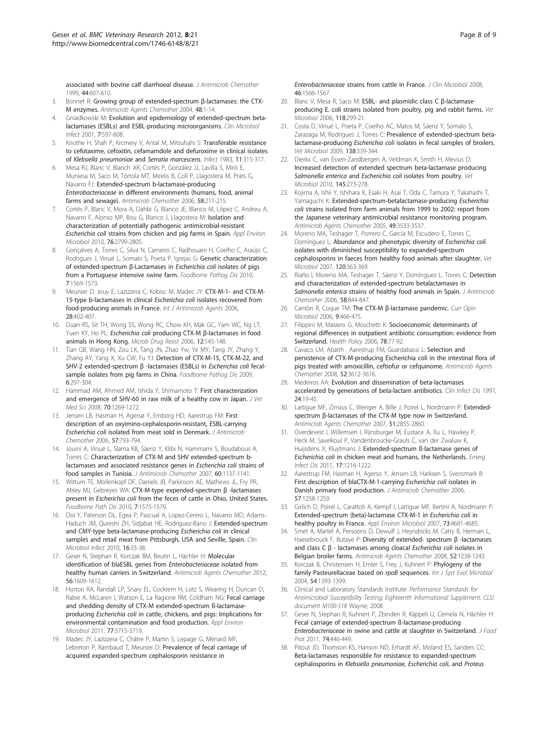<span id="page-7-0"></span>[associated with bovine calf diarrhoeal disease.](http://www.ncbi.nlm.nih.gov/pubmed/10552976?dopt=Abstract) J Antimicrob Chemother 1999, 44:607-610.

- 3. Bonnet R: [Growing group of extended-spectrum](http://www.ncbi.nlm.nih.gov/pubmed/14693512?dopt=Abstract) β-lactamases: the CTX-[M enzymes.](http://www.ncbi.nlm.nih.gov/pubmed/14693512?dopt=Abstract) Antimicrob Agents Chemother 2004, 48:1-14.
- 4. Gniadkowski M: [Evolution and epidemiology of extended-spectrum beta](http://www.ncbi.nlm.nih.gov/pubmed/11737084?dopt=Abstract)[lactamases \(ESBLs\) and ESBL-producing microorganisms.](http://www.ncbi.nlm.nih.gov/pubmed/11737084?dopt=Abstract) Clin Microbiol Infect 2001, 7:597-608.
- 5. Knothe H, Shah P, Krcmery V, Antal M, Mitsuhahi S: Transferable resistance to cefotaxime, cefoxitin, cefamamdole and defuroxime in clinical isolates of Klebsiella pneumoniae and Serratia marcescens. Infect 1983, 11:315-317.
- 6. Mesa RJ, Blanc V, Blanch AR, Cortés P, González JJ, Lavilla S, Miró E, Muniesa M, Saco M, Tórtola MT, Mirelis B, Coll P, Llagostera M, Prats G, Navarro FJ: Extended-spectrum b-lactamase-producing Enterobacteriaceae in different environments (humans, food, animal farms and sewage). Antimicrob Chemother 2006, 58:211-215.
- 7. Cortés P, Blanc V, Mora A, Dahbi G, Blanco JE, Blanco M, López C, Andreu A, Navarro F, Alonso MP, Bou G, Blanco J, Llagostera M: [Isolation and](http://www.ncbi.nlm.nih.gov/pubmed/20228098?dopt=Abstract) [characterization of potentially pathogenic antimicrobial-resistant](http://www.ncbi.nlm.nih.gov/pubmed/20228098?dopt=Abstract) Escherichia coli [strains from chicken and pig farms in Spain.](http://www.ncbi.nlm.nih.gov/pubmed/20228098?dopt=Abstract) Appl Environ Microbiol 2010, 76:2799-2805.
- Gonçalves A, Torres C, Silva N, Carneiro C, Radhouani H, Coelho C, Araújo C, Rodrigues J, Vinué L, Somalo S, Poeta P, Igrejas G: [Genetic characterization](http://www.ncbi.nlm.nih.gov/pubmed/20704503?dopt=Abstract) [of extended-spectrum](http://www.ncbi.nlm.nih.gov/pubmed/20704503?dopt=Abstract) β-Lactamases in Escherichia coli isolates of pigs [from a Portuguese intensive swine farm.](http://www.ncbi.nlm.nih.gov/pubmed/20704503?dopt=Abstract) Foodborne Pathog Dis 2010, 7:1569-1573.
- Meunier D, Jouy E, Lazizzera C, Kobisc M, Madec JY: [CTX-M-1- and CTX-M-](http://www.ncbi.nlm.nih.gov/pubmed/17027237?dopt=Abstract)[15-type b-lactamases in clinical](http://www.ncbi.nlm.nih.gov/pubmed/17027237?dopt=Abstract) Escherichia coli isolates recovered from [food-producing animals in France.](http://www.ncbi.nlm.nih.gov/pubmed/17027237?dopt=Abstract) Int J Antimicrob Agents 2006, 28:402-407.
- 10. Duan RS, Sit TH, Wong SS, Wong RC, Chow KH, Mak GC, Yam WC, Ng LT, Yuen KY, Ho PL: Escherichia coli producing CTX-M β[-lactamases in food](http://www.ncbi.nlm.nih.gov/pubmed/16922633?dopt=Abstract) [animals in Hong Kong.](http://www.ncbi.nlm.nih.gov/pubmed/16922633?dopt=Abstract) Microb Drug Resist 2006, 12:145-148.
- 11. Tian GB, Wang HN, Zou LK, Tang JN, Zhao Yw, Ye MY, Tang JY, Zhang Y, Zhang AY, Yang X, Xu CW, Fu YJ: [Detection of CTX-M-15, CTX-M-22, and](http://www.ncbi.nlm.nih.gov/pubmed/19272004?dopt=Abstract) [SHV-2 extended-spectrum](http://www.ncbi.nlm.nih.gov/pubmed/19272004?dopt=Abstract) β -lactamases (ESBLs) in Escherichia coli fecal[sample isolates from pig farms in China.](http://www.ncbi.nlm.nih.gov/pubmed/19272004?dopt=Abstract) Foodborne Pathog Dis 2009, 6:297-304.
- 12. Hammad AM, Ahmed AM, Ishida Y, Shimamoto T: [First characterization](http://www.ncbi.nlm.nih.gov/pubmed/19057150?dopt=Abstract) [and emergence of SHV-60 in raw milk of a healthy cow in Japan.](http://www.ncbi.nlm.nih.gov/pubmed/19057150?dopt=Abstract) J Vet Med Sci 2008, 70:1269-1272.
- 13. Jensen LB, Hasman H, Agersø Y, Emborg HD, Aarestrup FM: [First](http://www.ncbi.nlm.nih.gov/pubmed/16504999?dopt=Abstract) [description of an oxyimino-cephalosporin-resistant, ESBL-carrying](http://www.ncbi.nlm.nih.gov/pubmed/16504999?dopt=Abstract) Escherichia coli [isolated from meat sold in Denmark.](http://www.ncbi.nlm.nih.gov/pubmed/16504999?dopt=Abstract) J Antimicrob Chemother 2006, 57:793-794.
- 14. Jouini A, Vinué L, Slama KB, Sáenz Y, Klibi N, Hammami S, Boudabous A, Torres C: [Characterization of CTX-M and SHV extended-spectrum b](http://www.ncbi.nlm.nih.gov/pubmed/17855726?dopt=Abstract)[lactamases and associated resistance genes in](http://www.ncbi.nlm.nih.gov/pubmed/17855726?dopt=Abstract) Escherichia coli strains of [food samples in Tunisia.](http://www.ncbi.nlm.nih.gov/pubmed/17855726?dopt=Abstract) J Antimicrob Chemother 2007, 60:1137-1141.
- 15. Wittum TE, Mollenkopf DF, Daniels JB, Parkinson AE, Mathews JL, Fry PR, Abley MJ, Gebreyes WA: [CTX-M-type expended-spectrum](http://www.ncbi.nlm.nih.gov/pubmed/20707724?dopt=Abstract) β -lactamases present in Escherichia coli [from the feces of cattle in Ohio, United States.](http://www.ncbi.nlm.nih.gov/pubmed/20707724?dopt=Abstract) Foodborne Path Dis 2010, 7:1575-1579.
- 16. Doi Y, Paterson DL, Egea P, Pascual A, Lopez-Cerero L, Navarro MD, Adams-Haduch JM, Qureshi ZH, Sidjabat HE, Rodriguez-Bano J: [Extended-spectrum](http://www.ncbi.nlm.nih.gov/pubmed/19681957?dopt=Abstract) [and CMY-type beta-lactamase-producing](http://www.ncbi.nlm.nih.gov/pubmed/19681957?dopt=Abstract) Escherichia coli in clinical [samples and retail meat from Pittsburgh, USA and Seville, Spain.](http://www.ncbi.nlm.nih.gov/pubmed/19681957?dopt=Abstract) Clin Microbiol Infect 2010, 16:33-38.
- 17. Geser N, Stephan R, Korczak BM, Beutin L, Hächler H: [Molecular](http://www.ncbi.nlm.nih.gov/pubmed/22155836?dopt=Abstract) [identification of blaESBL genes from](http://www.ncbi.nlm.nih.gov/pubmed/22155836?dopt=Abstract) Enterobacteriaceae isolated from [healthy human carriers in Switzerland.](http://www.ncbi.nlm.nih.gov/pubmed/22155836?dopt=Abstract) Antimicrob Agents Chemother 2012, 56:1609-1612.
- 18. Horton RA, Randall LP, Snary EL, Cockrem H, Lotz S, Wearing H, Duncan D, Rabie A, McLaren I, Watson E, La Ragione RM, Coldham NG: [Fecal carriage](http://www.ncbi.nlm.nih.gov/pubmed/21478314?dopt=Abstract) [and shedding density of CTX-M extended-spectrum ß-lactamase](http://www.ncbi.nlm.nih.gov/pubmed/21478314?dopt=Abstract)producing Escherichia coli [in cattle, chickens, and pigs: Implications for](http://www.ncbi.nlm.nih.gov/pubmed/21478314?dopt=Abstract) [environmental contamination and food production.](http://www.ncbi.nlm.nih.gov/pubmed/21478314?dopt=Abstract) Appl Environ Microbiol 2011, 77:3715-3719.
- 19. Madec JY, Lazizzera C, Châtre P, Martin S, Lepage G, Ménard MF, Lebreton P, Rambaud T, Meunier D: [Prevalence of fecal carriage of](http://www.ncbi.nlm.nih.gov/pubmed/18272707?dopt=Abstract) [acquired expanded-spectrum cephalosporin resistance in](http://www.ncbi.nlm.nih.gov/pubmed/18272707?dopt=Abstract)

Enterobacteriaceae [strains from cattle in France.](http://www.ncbi.nlm.nih.gov/pubmed/18272707?dopt=Abstract) J Clin Microbiol 2008, 46:1566-1567.

- 20. Blanc V, Mesa R, Saco M: [ESBL- and plasmidic class C](http://www.ncbi.nlm.nih.gov/pubmed/16973308?dopt=Abstract) β-lactamase[producing E. coli strains isolated from poultry, pig and rabbit farms.](http://www.ncbi.nlm.nih.gov/pubmed/16973308?dopt=Abstract) Vet Microbiol 2006, 118:299-21.
- 21. Costa D, Vinué L, Poeta P, Coelho AC, Matos M, Sáenz Y, Somalo S, Zarazaga M, Rodrigues J, Torres C: [Prevalence of extended-spectrum beta](http://www.ncbi.nlm.nih.gov/pubmed/19372011?dopt=Abstract)lactamase-producing Escherichia coli [isolates in fecal samples of broilers.](http://www.ncbi.nlm.nih.gov/pubmed/19372011?dopt=Abstract) Vet Microbiol 2009, 138:339-344.
- 22. Dierkx C, van Essen-Zandbergen A, Veldman K, Smith H, Mevius D: [Increased detection of extended spectrum beta-lactamase producing](http://www.ncbi.nlm.nih.gov/pubmed/20395076?dopt=Abstract) Salmonella enterica and Escherichia coli [isolates from poultry.](http://www.ncbi.nlm.nih.gov/pubmed/20395076?dopt=Abstract) Vet Microbiol 2010, 145:273-278.
- 23. Kojima A, Ishii Y, Ishihara K, Esaki H, Asai T, Oda C, Tamura Y, Takahashi T, Yamaguchi K: [Extended-spectrum-betalactamase-producing](http://www.ncbi.nlm.nih.gov/pubmed/16048977?dopt=Abstract) Escherichia coli [strains isolated from farm animals from 1999 to 2002: report from](http://www.ncbi.nlm.nih.gov/pubmed/16048977?dopt=Abstract) [the Japanese veterinary antimicrobial resistance monitoring program.](http://www.ncbi.nlm.nih.gov/pubmed/16048977?dopt=Abstract) Antimicrob Agents Chemother 2005, 49:3533-3537.
- 24. Moreno MA, Teshager T, Porrero C, García M, Escudero E, Torres C, Domínguez L: [Abundance and phenotypic diversity of](http://www.ncbi.nlm.nih.gov/pubmed/17129687?dopt=Abstract) Escherichia coli [isolates with diminished susceptibility to expanded-spectrum](http://www.ncbi.nlm.nih.gov/pubmed/17129687?dopt=Abstract) [cephalosporins in faeces from healthy food animals after slaughter.](http://www.ncbi.nlm.nih.gov/pubmed/17129687?dopt=Abstract) Vet Microbiol 2007, 120:363-369.
- 25. Riaño I, Moreno MA, Teshager T, Sáenz Y, Domínguez L, Torres C: [Detection](http://www.ncbi.nlm.nih.gov/pubmed/16935865?dopt=Abstract) [and characterization of extended-spectrum betalactamases in](http://www.ncbi.nlm.nih.gov/pubmed/16935865?dopt=Abstract) Salmonella enterica [strains of healthy food animals in Spain.](http://www.ncbi.nlm.nih.gov/pubmed/16935865?dopt=Abstract) J Antimicrob Chemother 2006, 58:844-847.
- 26. Cantòn R, Coque TM: The CTX-M β[-lactamase pandemic.](http://www.ncbi.nlm.nih.gov/pubmed/16942899?dopt=Abstract) Curr Opin Microbiol 2006, 9:466-475.
- 27. Filippini M, Masiero G, Moschetti K: [Socioeconomic determinants of](http://www.ncbi.nlm.nih.gov/pubmed/16290129?dopt=Abstract) [regional differences in outpatient antibiotic consumption: evidence from](http://www.ncbi.nlm.nih.gov/pubmed/16290129?dopt=Abstract) [Switzerland.](http://www.ncbi.nlm.nih.gov/pubmed/16290129?dopt=Abstract) Health Policy 2006, 78:77-92.
- 28. Cavaco LM, Abatih, Aarestrup FM, Guardabassi L: [Selection and](http://www.ncbi.nlm.nih.gov/pubmed/18644956?dopt=Abstract) [persistence of CTX-M-producing Escherichia coli in the intestinal flora of](http://www.ncbi.nlm.nih.gov/pubmed/18644956?dopt=Abstract) [pigs treated with amoxicillin, ceftiofur or cefquinome.](http://www.ncbi.nlm.nih.gov/pubmed/18644956?dopt=Abstract) Antimicrob Agents Chemother 2008, 52:3612-3616.
- 29. Medeiros AA: Evolution and dissemination of beta-lactamases accelerated by generations of beta-lactam antibiotics. Clin Infect Dis 1997, 24:19-45.
- 30. Lartique MF, Zinsius C, Wenger A, Bille J, Poirel L, Nordmann P: [Extended](http://www.ncbi.nlm.nih.gov/pubmed/17470647?dopt=Abstract)spectrum β[-lactamases of the CTX-M type now in Switzerland.](http://www.ncbi.nlm.nih.gov/pubmed/17470647?dopt=Abstract) Antimicrob Agents Chemother 2007, 51:2855-2860.
- 31. Overdevest I, Willemsen I, Rijnsburger M, Eustace A, Xu L, Hawkey P, Heck M, Savelkoul P, Vandenbroucke-Grauls C, van der Zwaluw K, Huijsdens X, Kluytmans J: [Extended-spectrum ß-lactamase genes of](http://www.ncbi.nlm.nih.gov/pubmed/21762575?dopt=Abstract) Escherichia coli [in chicken meat and humans, the Netherlands.](http://www.ncbi.nlm.nih.gov/pubmed/21762575?dopt=Abstract) Emerg Infect Dis 2011, 17:1216-1222.
- 32. Aarestrup FM, Hasman H, Agerso Y, Jensen LB, Harksen S, Svensmark B: [First description of blaCTX-M-1-carrying](http://www.ncbi.nlm.nih.gov/pubmed/16597635?dopt=Abstract) Escherichia coli isolates in [Danish primary food production.](http://www.ncbi.nlm.nih.gov/pubmed/16597635?dopt=Abstract) J Antimicrob Chemother 2006, 57:1258-1259.
- 33. Girlich D, Poirel L, Carattoli A, Kempf I, Lartigue MF, Bertini A, Nordmann P: [Extended-spectrum \(beta\)-lactamase CTX-M-1 in](http://www.ncbi.nlm.nih.gov/pubmed/17513592?dopt=Abstract) Escherichia coli in [healthy poultry in France.](http://www.ncbi.nlm.nih.gov/pubmed/17513592?dopt=Abstract) Appl Environ Microbiol 2007, 73:4681-4685.
- 34. Smet A, Martel A, Persoons D, Dewulf J, Heyndricks M, Catry B, Herman L, Haesebrouck F, Butaye P: [Diversity of extended- spectrum](http://www.ncbi.nlm.nih.gov/pubmed/18227190?dopt=Abstract) β -lactamases and class  $C$  β [- lactamases among cloacal](http://www.ncbi.nlm.nih.gov/pubmed/18227190?dopt=Abstract) *Escherichia coli* isolates in [Belgian broiler farms.](http://www.ncbi.nlm.nih.gov/pubmed/18227190?dopt=Abstract) Antimicrob Agents Chemother 2008, 52:1238-1243.
- 35. Korczak B, Christensen H, Emler S, Frey J, Kuhnert P: [Phylogeny of the](http://www.ncbi.nlm.nih.gov/pubmed/15280320?dopt=Abstract) [family Pasteurellaceae based on](http://www.ncbi.nlm.nih.gov/pubmed/15280320?dopt=Abstract) rpoB sequences. Int J Syst Evol Microbiol 2004, 54:1393-1399.
- 36. Clinical and Laboratory Standards Institute: Performance Standards for Antimicrobial Susceptibility Testing; Eighteenth Informational Supplement. CLSI document M100-S18 Wayne; 2008.
- 37. Geser N, Stephan R, Kuhnert P, Zbinden R, Käppeli U, Cernela N, Hächler H: [Fecal carriage of extended-spectrum ß-lactamase-producing](http://www.ncbi.nlm.nih.gov/pubmed/21375882?dopt=Abstract) Enterobacteriaceae [in swine and cattle at slaughter in Switzerland.](http://www.ncbi.nlm.nih.gov/pubmed/21375882?dopt=Abstract) J Food Prot 2011, 74:446-449.
- 38. Pitout JD, Thomson KS, Hanson ND, Erhardt AF, Moland ES, Sanders CC: [Beta-lactamases responsible for resistance to expanded-spectrum](http://www.ncbi.nlm.nih.gov/pubmed/9624474?dopt=Abstract) cephalosporins in [Klebsiella pneumoniae, Escherichia coli](http://www.ncbi.nlm.nih.gov/pubmed/9624474?dopt=Abstract), and Proteus